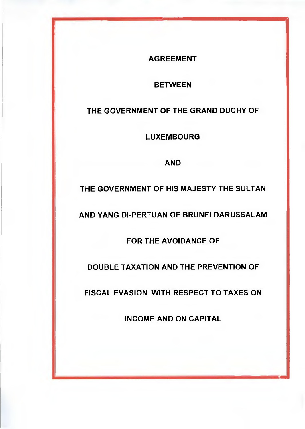# **AGREEMENT**

## **BETWEEN**

# **THE GOVERNMENT OF THE GRAND DUCHY OF**

## **LUXEMBOURG**

## **AND**

# **THE GOVERNMENT OF HIS MAJESTY THE SULTAN**

# **AND YANG DI-PERTUAN OF BRUNEI DARUSSALAM**

# **FOR THE AVOIDANCE OF**

# **DOUBLE TAXATION AND THE PREVENTION OF**

**FISCAL EVASION WITH RESPECT TO TAXES ON** 

**INCOME AND ON CAPITAL**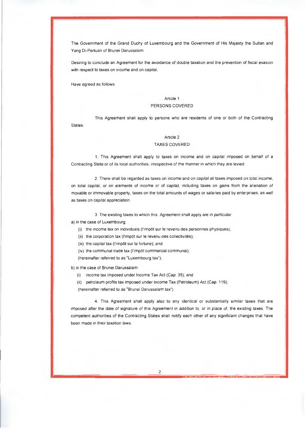The Government of the Grand Duchy of Luxembourg and the Government of His Majesty the Sultan and Yang Di-Pertuan of Brunei Darussalam

Desiring to conclude an Agreement for the avoidance of double taxation and the prevention of fiscal evasion with respect to taxes on income and on capital,

Have agreed as follows:

## Article 1 PERSONS COVERED

This Agreement shall apply to persons who are residents of one or both of the Contracting States

#### Article 2

#### TAXES COVERED

1. This Agreement shall apply to taxes on income and on capital imposed on behalf of a Contracting State or of its local authorities, irrespective of the manner in which they are levied.

2. There shall be regarded as taxes on income and on capital all taxes imposed on total income, on total capital, or on elements of income or of capital, including taxes on gains from the alienation of movable or immovable property, taxes on the total amounts of wages or salaries paid by enterprises, as well as taxes on capital appreciation.

3. The existing taxes to which this Agreement shall apply are in particular:

a) in the case of Luxembourg:

- (i) the income tax on individuals (l'impôt sur le revenu des personnes physiques);
- (ii) the corporation tax (l'impôt sur le revenu des collectivités);
- (iii) the capital tax (l'impôt sur la fortune); and
- (iv) the communal trade tax (l'impôt commercial communal);
- (hereinafter referred to as "Luxembourg tax);

b) in the case of Brunei Darussalam:

- (i) income tax imposed under Income Tax Act (Cap. 35); and
- (ii) petroleum profits tax imposed under Income Tax (Petroleum) Act (Cap. 119);
- (hereinafter referred to as "Brunei Darussalam tax").

4. This Agreement shall apply also to any identical or substantially similar taxes that are imposed after the date of signature of this Agreement in addition to, or in place of, the existing taxes. The competent authorities of the Contracting States shall notify each other of any significant changes that have been made in their taxation laws.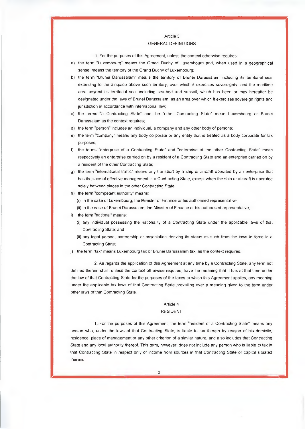## Article 3

## GENERAL DEFINITIONS

1. For the purposes of this Agreement, unless the context otherwise requires:

- a) the term "Luxembourg" means the Grand Duchy of Luxembourg and, when used in a geographical sense, means the territory of the Grand Duchy of Luxembourg;
- b) the term "Brunei Darussalam" means the territory of Brunei Darussalam including its territorial sea, extending to the airspace above such territory, over which it exercises sovereignty, and the maritime area beyond its territorial sea, including sea-bed and subsoil, which has been or may hereafter be designated under the laws of Brunei Darussalam, as an area over which it exercises sovereign rights and jurisdiction in accordance with international law;
- c) the terms "a Contracting State" and the "other Contracting State" mean Luxembourg or Brunei Darussalam as the context requires;
- d) the term "person" includes an individual, a company and any other body of persons;
- e) the term "company" means any body corporate or any entity that is treated as a body corporate for tax purposes;
- f) the terms "enterprise of a Contracting State" and "enterprise of the other Contracting State" mean respectively an enterprise carried on by a resident of a Contracting State and an enterprise carried on by a resident of the other Contracting State;
- g) the term "international traffic" means any transport by a ship or aircraft operated by an enterprise that has its place of effective management in a Contracting State, except when the ship or aircraft is operated solely between places in the other Contracting State;
- h) the term "competent authority" means:
	- (i) in the case of Luxembourg, the Minister of Finance or his authorised representative;
	- (ii) in the case of Brunei Darussalam, the Minister of Finance or his authorised representative;
- i) the term "national" means:
	- (i) any individual possessing the nationality of a Contracting State under the applicable laws of that Contracting State; and
	- (ii) any legal person, partnership or association deriving its status as such from the laws in force in a Contracting State;
- j) the term "tax" means Luxembourg tax or Brunei Darussalam tax, as the context requires.

2. As regards the application of this Agreement at any time by a Contracting State, any term not defined therein shall, unless the context otherwise requires, have the meaning that it has at that time under the law of that Contracting State for the purposes of the taxes to which this Agreement applies, any meaning under the applicable tax laws of that Contracting State prevailing over a meaning given to the term under other laws of that Contracting State.

## Article 4

### RESIDENT

1. For the purposes of this Agreement, the term "resident of a Contracting State" means any person who, under the laws of that Contracting State, is liable to tax therein by reason of his domicile, residence, place of management or any other criterion of a similar nature, and also includes that Contracting State and any local authority thereof. This term, however, does not include any person who is liable to tax in that Contracting State in respect only of income from sources in that Contracting State or capital situated therein.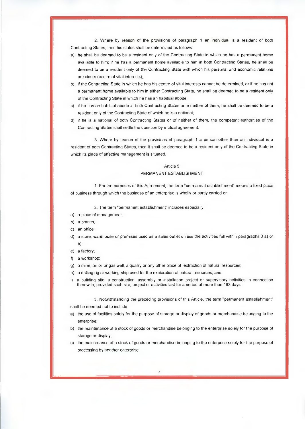2. Where by reason of the provisions of paragraph 1 an individual is a resident of both Contracting States, then his status shall be determined as follows:

- a) he shall be deemed to be a resident only of the Contracting State in which he has a permanent home available to him; if he has a permanent home available to him in both Contracting States, he shall be deemed to be a resident only of the Contracting State with which his personal and economic relations are closer (centre of vital interests);
- b) if the Contracting State in which he has his centre of vital interests cannot be determined, or if he has not a permanent home available to him in either Contracting State, he shall be deemed to be a resident only of the Contracting State in which he has an habitual abode;
- c) if he has an habitual abode in both Contracting States or in neither of them, he shall be deemed to be a resident only of the Contracting State of which he is a national;
- d) if he is a national of both Contracting States or of neither of them, the competent authorities of the Contracting States shall settle the question by mutual agreement.

3. Where by reason of the provisions of paragraph 1 a person other than an individual is a resident of both Contracting States, then it shall be deemed to be a resident only of the Contracting State in which its place of effective management is situated.

#### Article 5

#### PERMANENT ESTABLISHMENT

1. For the purposes of this Agreement, the term "permanent establishment" means a fixed place of business through which the business of an enterprise is wholly or partly carried on.

2. The term "permanent establishment" includes especially:

- a) a place of management;
- b) a branch;
- c) an office;
- d) a store, warehouse or premises used as a sales outlet unless the activities fall within paragraphs 3 a) or *b);*
- e) a factory;
- f) a workshop;
- g) a mine, an oil or gas well, a quarry or any other place of extraction of natural resources;
- h) a drilling rig or working ship used for the exploration of natural resources; and
- i) a building site, a construction, assembly or installation project or supervisory activities in connection therewith, provided such site, project or activities last for a period of more than 183 days.

3. Notwithstanding the preceding provisions of this Article, the term "permanent establishment"

shall be deemed not to include:

- a) the use of facilities solely for the purpose of storage or display of goods or merchandise belonging to the enterprise;
- b) the maintenance of a stock of goods or merchandise belonging to the enterprise solely for the purpose of storage or display;
- c) the maintenance of a stock of goods or merchandise belonging to the enterprise solely for the purpose of processing by another enterprise;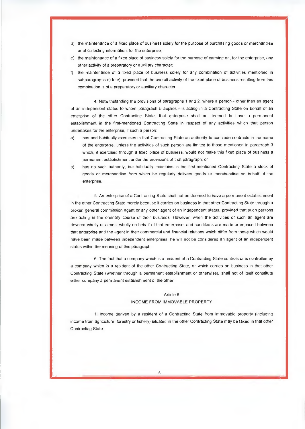- d) the maintenance of a fixed place of business solely for the purpose of purchasing goods or merchandise or of collecting information, for the enterprise;
- e) the maintenance of a fixed place of business solely for the purpose of carrying on, for the enterprise, any other activity of a preparatory or auxiliary character;
- f) the maintenance of a fixed place of business solely for any combination of activities mentioned in subparagraphs a) to e), provided that the overall activity of the fixed place of business resulting from this combination is of a preparatory or auxiliary character.

4. Notwithstanding the provisions of paragraphs 1 and 2, where a person - other than an agent of an independent status to whom paragraph 5 applies - is acting in a Contracting State on behalf of an enterprise of the other Contracting State, that enterprise shall be deemed to have a permanent establishment in the first-mentioned Contracting State in respect of any activities which that person undertakes for the enterprise, if such a person:

- a) has and habitually exercises in that Contracting State an authority to conclude contracts in the name of the enterprise, unless the activities of such person are limited to those mentioned in paragraph 3 which, if exercised through a fixed place of business, would not make this fixed place of business a permanent establishment under the provisions of that paragraph; or
- b) has no such authority, but habitually maintains in the first-mentioned Contracting State a stock of goods or merchandise from which he regularly delivers goods or merchandise on behalf of the enterprise.

5. An enterprise of a Contracting State shall not be deemed to have a permanent establishment in the other Contracting State merely because it carries on business in that other Contracting State through a broker, general commission agent or any other agent of an independent status, provided that such persons are acting in the ordinary course of their business. However, when the activities of such an agent are devoted wholly or almost wholly on behalf of that enterprise, and conditions are made or imposed between that enterprise and the agent in their commercial and financial relations which differ from those which would have been made between independent enterprises, he will not be considered an agent of an independent status within the meaning of this paragraph.

6. The fact that a company which is a resident of a Contracting State controls or is controlled by a company which is a resident of the other Contracting State, or which carries on business in that other Contracting State (whether through a permanent establishment or otherwise), shall not of itself constitute either company a permanent establishment of the other.

#### Article 6

#### INCOME FROM IMMOVABLE PROPERTY

1. Income derived by a resident of a Contracting State from immovable property (including income from agriculture, forestry or fishery) situated in the other Contracting State may be taxed in that other Contracting State.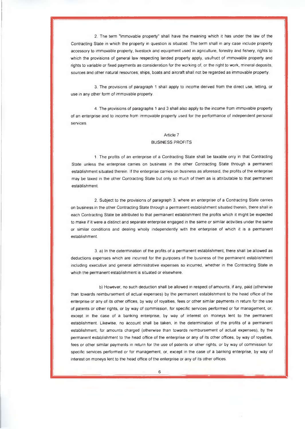2. The term "immovable property" shall have the meaning which it has under the law of the Contracting State in which the property in question is situated. The term shall in any case include property accessory to immovable property, livestock and equipment used in agriculture, forestry and fishery, rights to which the provisions of general law respecting landed property apply, usufruct of immovable property and rights to variable or fixed payments as consideration for the working of, or the right to work, mineral deposits, sources and other natural resources; ships, boats and aircraft shall not be regarded as immovable property.

3. The provisions of paragraph 1 shall apply to income derived from the direct use, letting, or use in any other form of immovable property.

4. The provisions of paragraphs 1 and 3 shall also apply to the income from immovable property of an enterprise and to income from immovable property used for the performance of independent personal services.

## Article 7 BUSINESS PROFITS

1. The profits of an enterprise of a Contracting State shall be taxable only in that Contracting State unless the enterprise carries on business in the other Contracting State through a permanent establishment situated therein. If the enterprise carries on business as aforesaid, the profits of the enterprise may be taxed in the other Contracting State but only so much of them as is attributable to that permanent establishment.

2. Subject to the provisions of paragraph 3, where an enterprise of a Contracting State carries on business in the other Contracting State through a permanent establishment situated therein, there shall in each Contracting State be attributed to that permanent establishment the profits which it might be expected to make if it were a distinct and separate enterprise engaged in the same or similar activities under the same or similar conditions and dealing wholly independently with the enterprise of which it is a permanent establishment.

3. a) In the determination of the profits of a permanent establishment, there shall be allowed as deductions expenses which are incurred for the purposes of the business of the permanent establishment including executive and general administrative expenses so incurred, whether in the Contracting State in which the permanent establishment is situated or elsewhere.

b) However, no such deduction shall be allowed in respect of amounts, if any, paid (otherwise than towards reimbursement of actual expenses) by the permanent establishment to the head office of the enterprise or any of its other offices, by way of royalties, fees or other similar payments in return for the use of patents or other rights, or by way of commission, for specific services performed or for management, or, except in the case of a banking enterprise, by way of interest on moneys lent to the permanent establishment. Likewise, no account shall be taken, in the determination of the profits of a permanent establishment, for amounts charged (otherwise than towards reimbursement of actual expenses), by the permanent establishment to the head office of the enterprise or any of its other offices, by way of royalties, fees or other similar payments in return for the use of patents or other rights, or by way of commission for specific services performed or for management, or, except in the case of a banking enterprise, by way of interest on moneys lent to the head office of the enterprise or any of its other offices.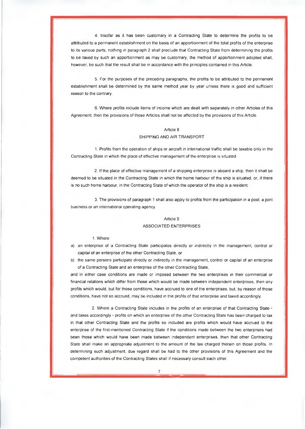4. Insofar as it has been customary in a Contracting State to determine the profits to be attributed to a permanent establishment on the basis of an apportionment of the total profits of the enterprise to its various parts, nothing in paragraph 2 shall preclude that Contracting State from determining the profits to be taxed by such an apportionment as may be customary; the method of apportionment adopted shall, however, be such that the result shall be in accordance with the principles contained in this Article.

5. For the purposes of the preceding paragraphs, the profits to be attributed to the permanent establishment shall be determined by the same method year by year unless there is good and sufficient reason to the contrary.

6. Where profits include items of income which are dealt with separately in other Articles of this Agreement, then the provisions of those Articles shall not be affected by the provisions of this Article.

### Article 8 SHIPPING AND AIR TRANSPORT

1. Profits from the operation of ships or aircraft in international traffic shall be taxable only in the Contracting State in which the place of effective management of the enterprise is situated.

2. If the place of effective management of a shipping enterprise is aboard a ship, then it shall be deemed to be situated in the Contracting State in which the home harbour of the ship is situated, or, if there is no such home harbour, in the Contracting State of which the operator of the ship is a resident.

3. The provisions of paragraph 1 shall also apply to profits from the participation in a pool, a joint business or an international operating agency.

## Article 9

### ASSOCIATED ENTERPRISES

#### 1. Where

- a) an enterprise of a Contracting State participates directly or indirectly in the management, control or capital of an enterprise of the other Contracting State, or
- b) the same persons participate directly or indirectly in the management, control or capital of an enterprise of a Contracting State and an enterprise of the other Contracting State,

and in either case conditions are made or imposed between the two enterprises in their commercial or financial relations which differ from those which would be made between independent enterprises, then any profits which would, but for those conditions, have accrued to one of the enterprises, but, by reason of those conditions, have not so accrued, may be included in the profits of that enterprise and taxed accordingly.

2. Where a Contracting State includes in the profits of an enterprise of that Contracting State and taxes accordingly - profits on which an enterprise of the other Contracting State has been charged to tax in that other Contracting State and the profits so included are profits which would have accrued to the enterprise of the first-mentioned Contracting State if the conditions made between the two enterprises had been those which would have been made between independent enterprises, then that other Contracting State shall make an appropriate adjustment to the amount of the tax charged therein on those profits. In determining such adjustment, due regard shall be had to the other provisions of this Agreement and the competent authorities of the Contracting States shall if necessary consult each other.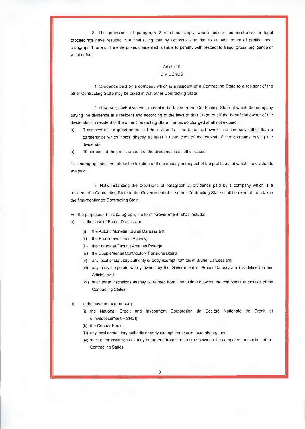3. The provisions of paragraph 2 shall not apply where judicial, administrative or legal proceedings have resulted in a final ruling that by actions giving rise to an adjustment of profits under paragraph 1, one of the enterprises concerned is liable to penalty with respect to fraud, gross negligence or wilful default.

### Article 10

#### DIVIDENDS

1. Dividends paid by a company which is a resident of a Contracting State to a resident of the other Contracting State may be taxed in that other Contracting State.

2. However, such dividends may also be taxed in the Contracting State of which the company paying the dividends is a resident and according to the laws of that State, but if the beneficial owner of the dividends is a resident of the other Contracting State, the tax so charged shall not exceed:

- a) 0 per cent of the gross amount of the dividends if the beneficial owner is a company (other than a partnership) which holds directly at least 10 per cent of the capital of the company paying the dividends;
- b) 10 per cent of the gross amount of the dividends in all other cases.

This paragraph shall not affect the taxation of the company in respect of the profits out of which the dividends are paid.

3. Notwithstanding the provisions of paragraph 2, dividends paid by a company which is a resident of a Contracting State to the Government of the other Contracting State shall be exempt from tax in the first-mentioned Contracting State.

For the purposes of this paragraph, the term "Government" shall include:

- a) in the case of Brunei Darussalam:
	- (i) the Autoriti Monetari Brunei Darussalam;
	- (ii) the Brunei Investment Agency;
	- (iii) the Lembaga Tabung Amanah Pekerja;
	- (iv) the Supplemental Contributory Pensions Board;
	- (v) any local or statutory authority or body exempt from tax in Brunei Darussalam;
	- (vi) any body corporate wholly owned by the Government of Brunei Darussalam (as defined in this Article); and
	- (vii) such other institutions as may be agreed from time to time between the competent authorities of the Contracting States;
- b) in the case of Luxembourg:
	- (i) the National Credit and Investment Corporation (la Société Nationale de Crédit et d'Investissement — SNCI);
	- (ii) the Central Bank;
	- (iii) any local or statutory authority or body exempt from tax in Luxembourg; and
	- (iv) such other institutions as may be agreed from time to time between the competent authorities of the Contracting States.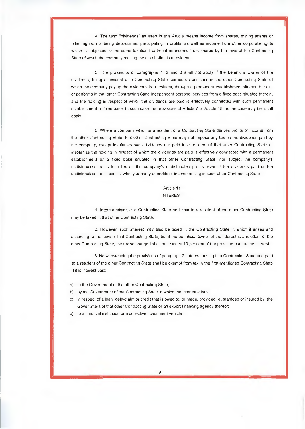4. The term "dividends" as used in this Article means income from shares, mining shares or other rights, not being debt-claims, participating in profits, as well as income from other corporate rights which is subjected to the same taxation treatment as income from shares by the laws of the Contracting State of which the company making the distribution is a resident.

5. The provisions of paragraphs 1, 2 and 3 shall not apply if the beneficial owner of the dividends, being a resident of a Contracting State, carries on business in the other Contracting State of which the company paying the dividends is a resident, through a permanent establishment situated therein, or performs in that other Contracting State independent personal services from a fixed base situated therein, and the holding in respect of which the dividends are paid is effectively connected with such permanent establishment or fixed base. In such case the provisions of Article 7 or Article 15, as the case may be, shall apply.

6. Where a company which is a resident of a Contracting State derives profits or income from the other Contracting State, that other Contracting State may not impose any tax on the dividends paid by the company, except insofar as such dividends are paid to a resident of that other Contracting State or insofar as the holding in respect of which the dividends are paid is effectively connected with a permanent establishment or a fixed base situated in that other Contracting State, nor subject the company's undistributed profits to a tax on the company's undistributed profits, even if the dividends paid or the undistributed profits consist wholly or partly of profits or income arising in such other Contracting State.

## Article 11 INTEREST

1. Interest arising in a Contracting State and paid to a resident of the other Contracting State may be taxed in that other Contracting State.

2. However, such interest may also be taxed in the Contracting State in which it arises and according to the laws of that Contracting State, but if the beneficial owner of the interest is a resident of the other Contracting State, the tax so charged shall not exceed 10 per cent of the gross amount of the interest.

3. Notwithstanding the provisions of paragraph 2, interest arising in a Contracting State and paid to a resident of the other Contracting State shall be exempt from tax in the first-mentioned Contracting State if it is interest paid:

- a) to the Government of the other Contracting State;
- b) by the Government of the Contracting State in which the interest arises;
- c) in respect of a loan, debt-claim or credit that is owed to, or made, provided, guaranteed or insured by, the Government of that other Contracting State or an export financing agency thereof;
- d) to a financial institution or a collective investment vehicle.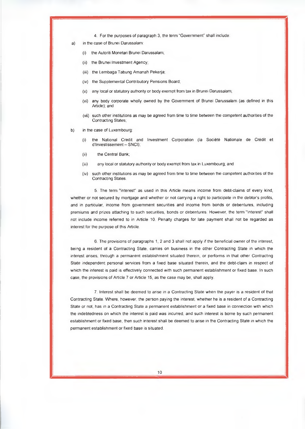4. For the purposes of paragraph 3, the term "Government" shall include:

- a) in the case of Brunei Darussalam:
	- (i) the Autoriti Monetari Brunei Darussalam;
	- (ii) the Brunei Investment Agency;
	- (iii) the Lembaga Tabung Amanah Pekerja;
	- (iv) the Supplemental Contributory Pensions Board;
	- (v) any local or statutory authority or body exempt from tax in Brunei Darussalam;
	- (vi) any body corporate wholly owned by the Government of Brunei Darussalam (as defined in this Article); and
	- (vii) such other institutions as may be agreed from time to time between the competent authorities of the Contracting States;
- b) in the case of Luxembourg:
	- (i) the National Credit and Investment Corporation (la Société Nationale de Credit et d'Investissement — SNCI);
	- (ii) the Central Bank;
	- (iii) any local or statutory authority or body exempt from tax in Luxembourg; and
	- (iv) such other institutions as may be agreed from time to time between the competent authorities of the Contracting States.

5. The term "interest" as used in this Article means income from debt-claims of every kind, whether or not secured by mortgage and whether or not carrying a right to participate in the debtor's profits, and in particular, income from government securities and income from bonds or debentures, including premiums and prizes attaching to such securities, bonds or debentures. However, the term "interest" shall not include income referred to in Article 10. Penalty charges for late payment shall not be regarded as interest for the purpose of this Article.

6. The provisions of paragraphs 1, 2 and 3 shall not apply if the beneficial owner of the interest, being a resident of a Contracting State, carries on business in the other Contracting State in which the interest arises, through a permanent establishment situated therein, or performs in that other Contracting State independent personal services from a fixed base situated therein, and the debt-claim in respect of which the interest is paid is effectively connected with such permanent establishment or fixed base. In such case, the provisions of Article 7 or Article 15, as the case may be, shall apply.

7. Interest shall be deemed to arise in a Contracting State when the payer is a resident of that Contracting State. Where, however, the person paying the interest, whether he is a resident of a Contracting State or not, has in a Contracting State a permanent establishment or a fixed base in connection with which the indebtedness on which the interest is paid was incurred, and such interest is borne by such permanent establishment or fixed base, then such interest shall be deemed to arise in the Contracting State in which the permanent establishment or fixed base is situated.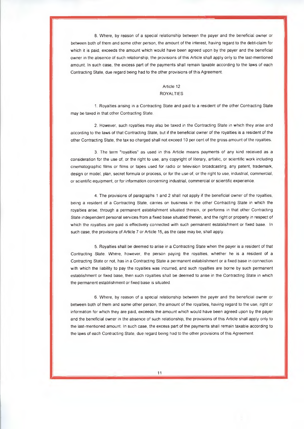8. Where, by reason of a special relationship between the payer and the beneficial owner or between both of them and some other person, the amount of the interest, having regard to the debt-claim for which it is paid, exceeds the amount which would have been agreed upon by the payer and the beneficial owner in the absence of such relationship, the provisions of this Article shall apply only to the last-mentioned amount. In such case, the excess part of the payments shall remain taxable according to the laws of each Contracting State, due regard being had to the other provisions of this Agreement.

## Article 12 ROYALTIES

1. Royalties arising in a Contracting State and paid to a resident of the other Contracting State may be taxed in that other Contracting State.

2. However, such royalties may also be taxed in the Contracting State in which they arise and according to the laws of that Contracting State, but if the beneficial owner of the royalties is a resident of the other Contracting State, the tax so charged shall not exceed 10 per cent of the gross amount of the royalties.

3. The term "royalties" as used in this Article means payments of any kind received as a consideration for the use of, or the right to use, any copyright of literary, artistic, or scientific work including cinematographic films or films or tapes used for radio or television broadcasting, any patent, trademark, design or model, plan, secret formula or process, or for the use of, or the right to use, industrial, commercial, or scientific equipment, or for information concerning industrial, commercial or scientific experience.

4. The provisions of paragraphs 1 and 2 shall not apply if the beneficial owner of the royalties, being a resident of a Contracting State, carries on business in the other Contracting State in which the royalties arise, through a permanent establishment situated therein, or performs in that other Contracting State independent personal services from a fixed base situated therein, and the right or property in respect of which the royalties are paid is effectively connected with such permanent establishment or fixed base. In such case, the provisions of Article 7 or Article 15, as the case may be, shall apply.

5. Royalties shall be deemed to arise in a Contracting State when the payer is a resident of that Contracting State. Where, however, the person paying the royalties, whether he is a resident of a Contracting State or not, has in a Contracting State a permanent establishment or a fixed base in connection with which the liability to pay the royalties was incurred, and such royalties are borne by such permanent establishment or fixed base, then such royalties shall be deemed to arise in the Contracting State in which the permanent establishment or fixed base is situated.

6. Where, by reason of a special relationship between the payer and the beneficial owner or between both of them and some other person, the amount of the royalties, having regard to the use, right or information for which they are paid, exceeds the amount which would have been agreed upon by the payer and the beneficial owner in the absence of such relationship, the provisions of this Article shall apply only to the last-mentioned amount. In such case, the excess part of the payments shall remain taxable according to the laws of each Contracting State, due regard being had to the other provisions of this Agreement.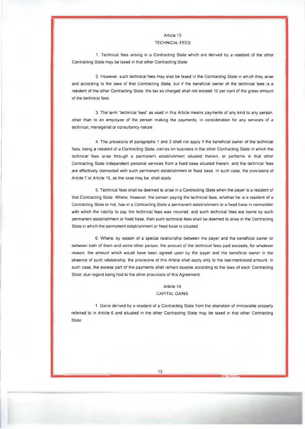### Article 13 TECHNICAL FEES

1. Technical fees arising in a Contracting State which are derived by a resident of the other Contracting State may be taxed in that other Contracting State.

2. However, such technical fees may also be taxed in the Contracting State in which they arise and according to the laws of that Contracting State, but if the beneficial owner of the technical fees is a resident of the other Contracting State, the tax so charged shall not exceed 10 per cent of the gross amount of the technical fees.

3. The term "technical fees" as used in this Article means payments of any kind to any person, other than to an employee of the person making the payments, in consideration for any services of a technical, managerial or consultancy nature.

4. The provisions of paragraphs 1 and 2 shall not apply if the beneficial owner of the technical fees, being a resident of a Contracting State, carries on business in the other Contracting State in which the technical fees arise through a permanent establishment situated therein, or performs in that other Contracting State independent personal services from a fixed base situated therein, and the technical fees are effectively connected with such permanent establishment or fixed base. In such case, the provisions of Article 7 or Article 15, as the case may be, shall apply.

5. Technical fees shall be deemed to arise in a Contracting State when the payer is a resident of that Contracting State. Where, however, the person paying the technical fees, whether he is a resident of a Contracting State or not, has in a Contracting State a permanent establishment or a fixed base in connection with which the liability to pay the technical fees was incurred, and such technical fees are borne by such permanent establishment or fixed base, then such technical fees shall be deemed to arise in the Contracting State in which the permanent establishment or fixed base is situated.

6. Where, by reason of a special relationship between the payer and the beneficial owner or between both of them and some other person, the amount of the technical fees paid exceeds, for whatever reason, the amount which would have been agreed upon by the payer and the beneficial owner in the absence of such relationship, the provisions of this Article shall apply only to the last-mentioned amount. In such case, the excess part of the payments shall remain taxable according to the laws of each Contracting State, due regard being had to the other provisions of this Agreement.

## Article 14 CAPITAL GAINS

1. Gains derived by a resident of a Contracting State from the alienation of immovable property referred to in Article 6 and situated in the other Contracting State may be taxed in that other Contracting **State**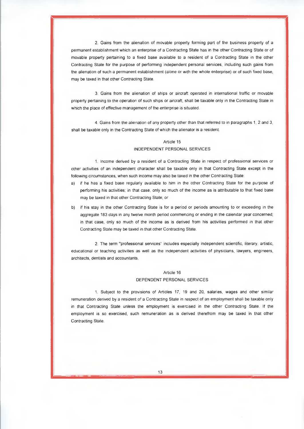2. Gains from the alienation of movable property forming part of the business property of a permanent establishment which an enterprise of a Contracting State has in the other Contracting State or of movable property pertaining to a fixed base available to a resident of a Contracting State in the other Contracting State for the purpose of performing independent personal services, including such gains from the alienation of such a permanent establishment (alone or with the whole enterprise) or of such fixed base, may be taxed in that other Contracting State.

3. Gains from the alienation of ships or aircraft operated in international traffic or movable property pertaining to the operation of such ships or aircraft, shall be taxable only in the Contracting State in which the place of effective management of the enterprise is situated.

4. Gains from the alienation of any property other than that referred to in paragraphs 1, 2 and 3, shall be taxable only in the Contracting State of which the alienator is a resident.

## Article 15 INDEPENDENT PERSONAL SERVICES

1. Income derived by a resident of a Contracting State in respect of professional services or other activities of an independent character shall be taxable only in that Contracting State except in the following circumstances, when such income may also be taxed in the other Contracting State:

- a) if he has a fixed base regularly available to him in the other Contracting State for the purpose of performing his activities; in that case, only so much of the income as is attributable to that fixed base may be taxed in that other Contracting State; or
- b) if his stay in the other Contracting State is for a period or periods amounting to or exceeding in the aggregate 183 days in any twelve month period commencing or ending in the calendar year concerned; in that case, only so much of the income as is derived from his activities performed in that other Contracting State may be taxed in that other Contracting State.

2. The term "professional services" includes especially independent scientific, literary, artistic, educational or teaching activities as well as the independent activities of physicians, lawyers, engineers, architects, dentists and accountants.

## Article 16 DEPENDENT PERSONAL SERVICES

1. Subject to the provisions of Articles 17, 19 and 20, salaries, wages and other similar remuneration derived by a resident of a Contracting State in respect of an employment shall be taxable only in that Contracting State unless the employment is exercised in the other Contracting State. If the employment is so exercised, such remuneration as is derived therefrom may be taxed in that other Contracting State.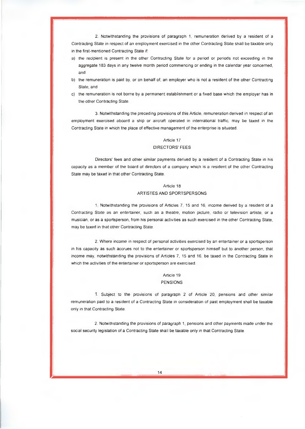2. Notwithstanding the provisions of paragraph 1, remuneration derived by a resident of a Contracting State in respect of an employment exercised in the other Contracting State shall be taxable only in the first-mentioned Contracting State if:

- a) the recipient is present in the other Contracting State for a period or periods not exceeding in the aggregate 183 days in any twelve month period commencing or ending in the calendar year concerned, and
- b) the remuneration is paid by, or on behalf of, an employer who is not a resident of the other Contracting State, and
- c) the remuneration is not borne by a permanent establishment or a fixed base which the employer has in the other Contracting State.

3. Notwithstanding the preceding provisions of this Article, remuneration derived in respect of an employment exercised aboard a ship or aircraft operated in international traffic, may be taxed in the Contracting State in which the place of effective management of the enterprise is situated.

#### Article 17

#### DIRECTORS' FEES

Directors' fees and other similar payments derived by a resident of a Contracting State in his capacity as a member of the board of directors of a company which is a resident of the other Contracting State may be taxed in that other Contracting State.

#### Article 18

#### ARTISTES AND SPORTSPERSONS

1. Notwithstanding the provisions of Articles 7, 15 and 16, income derived by a resident of a Contracting State as an entertainer, such as a theatre, motion picture, radio or television artiste, or a musician, or as a sportsperson, from his personal activities as such exercised in the other Contracting State, may be taxed in that other Contracting State.

2. Where income in respect of personal activities exercised by an entertainer or a sportsperson in his capacity as such accrues not to the entertainer or sportsperson himself but to another person, that income may, notwithstanding the provisions of Articles 7, 15 and 16, be taxed in the Contracting State in which the activities of the entertainer or sportsperson are exercised.

## Article 19 PENSIONS

1. Subject to the provisions of paragraph 2 of Article 20, pensions and other similar remuneration paid to a resident of a Contracting State in consideration of past employment shall be taxable only in that Contracting State.

2. Notwithstanding the provisions of paragraph 1, pensions and other payments made under the social security legislation of a Contracting State shall be taxable only in that Contracting State.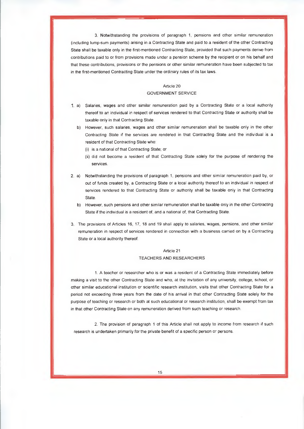3. Notwithstanding the provisions of paragraph 1, pensions and other similar remuneration (including lump-sum payments) arising in a Contracting State and paid to a resident of the other Contracting State shall be taxable only in the first-mentioned Contracting State, provided that such payments derive from contributions paid to or from provisions made under a pension scheme by the recipient or on his behalf and that these contributions, provisions or the pensions or other similar remuneration have been subjected to tax in the first-mentioned Contracting State under the ordinary rules of its tax laws.

## Article 20 GOVERNMENT SERVICE

- 1 a) Salaries, wages and other similar remuneration paid by a Contracting State or a local authority thereof to an individual in respect of services rendered to that Contracting State or authority shall be taxable only in that Contracting State
	- b) However, such salaries, wages and other similar remuneration shall be taxable only in the other Contracting State if the services are rendered in that Contracting State and the individual is a resident of that Contracting State who:
		- (i) is a national of that Contracting State; or
		- (ii) did not become a resident of that Contracting State solely for the purpose of rendering the services.
- 2 a) Notwithstanding the provisions of paragraph 1, pensions and other similar remuneration paid by, or out of funds created by, a Contracting State or a local authority thereof to an individual in respect of services rendered to that Contracting State or authority shall be taxable only in that Contracting State.
	- b) However, such pensions and other similar remuneration shall be taxable only in the other Contracting State if the individual is a resident of, and a national of, that Contracting State.
- 3 The provisions of Articles 16, 17, 18 and 19 shall apply to salaries, wages, pensions, and other similar remuneration in respect of services rendered in connection with a business carried on by a Contracting State or a local authority thereof.

## Article 21 TEACHERS AND RESEARCHERS

1. A teacher or researcher who is or was a resident of a Contracting State immediately before making a visit to the other Contracting State and who, at the invitation of any university, college, school, or other similar educational institution or scientific research institution, visits that other Contracting State for a period not exceeding three years from the date of his arrival in that other Contracting State solely for the purpose of teaching or research or both at such educational or research institution, shall be exempt from tax in that other Contracting State on any remuneration derived from such teaching or research.

2. The provision of paragraph 1 of this Article shall not apply to income from research if such research is undertaken primarily for the private benefit of a specific person or persons.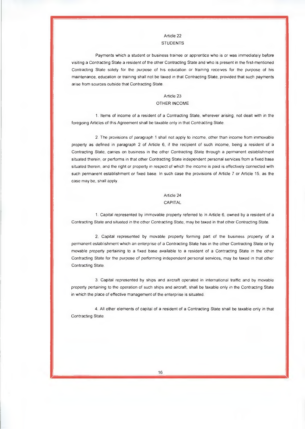## Article 22 **STUDENTS**

Payments which a student or business trainee or apprentice who is or was immediately before visiting a Contracting State a resident of the other Contracting State and who is present in the first-mentioned Contracting State solely for the purpose of his education or training receives for the purpose of his maintenance, education or training shall not be taxed in that Contracting State, provided that such payments arise from sources outside that Contracting State.

## Article 23 OTHER INCOME

1. Items of income of a resident of a Contracting State, wherever arising, not dealt with in the foregoing Articles of this Agreement shall be taxable only in that Contracting State.

2. The provisions of paragraph 1 shall not apply to income, other than income from immovable property as defined in paragraph 2 of Article 6, if the recipient of such income, being a resident of a Contracting State, carries on business in the other Contracting State through a permanent establishment situated therein, or performs in that other Contracting State independent personal services from a fixed base situated therein, and the right or property in respect of which the income is paid is effectively connected with such permanent establishment or fixed base. In such case the provisions of Article 7 or Article 15, as the case may be, shall apply.

## Article 24 CAPITAL

1. Capital represented by immovable property referred to in Article 6, owned by a resident of a Contracting State and situated in the other Contracting State, may be taxed in that other Contracting State.

2. Capital represented by movable property forming part of the business property of a permanent establishment which an enterprise of a Contracting State has in the other Contracting State or by movable property pertaining to a fixed base available to a resident of a Contracting State in the other Contracting State for the purpose of performing independent personal services, may be taxed in that other Contracting State.

3. Capital represented by ships and aircraft operated in international traffic and by movable property pertaining to the operation of such ships and aircraft, shall be taxable only in the Contracting State in which the place of effective management of the enterprise is situated.

4. All other elements of capital of a resident of a Contracting State shall be taxable only in that Contracting State.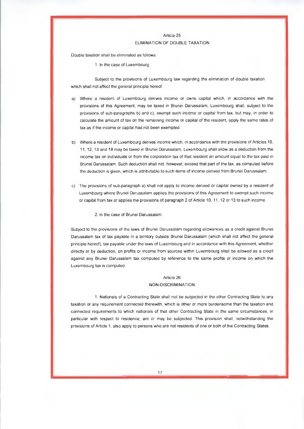## Article 25 ELIMINATION OF DOUBLE TAXATION

Double taxation shall be eliminated as follows:

1. In the case of Luxembourg:

Subject to the provisions of Luxembourg law regarding the elimination of double taxation which shall not affect the general principle hereof:

- a) Where a resident of Luxembourg derives income or owns capital which, in accordance with the provisions of this Agreement, may be taxed in Brunei Darussalam, Luxembourg shall, subject to the provisions of sub-paragraphs b) and c), exempt such income or capital from tax, but may, in order to calculate the amount of tax on the remaining income or capital of the resident, apply the same rates of tax as if the income or capital had not been exempted.
- b) Where a resident of Luxembourg derives income which, in accordance with the provisions of Articles 10, 11, 12, 13 and 18 may be taxed in Brunei Darussalam, Luxembourg shall allow as a deduction from the income tax on individuals or from the corporation tax of that resident an amount equal to the tax paid in Brunei Darussalam. Such deduction shall not, however, exceed that part of the tax, as computed before the deduction is given, which is attributable to such items of income derived from Brunei Darussalam.
- c) The provisions of sub-paragraph a) shall not apply to income derived or capital owned by a resident of Luxembourg where Brunei Darussalam applies the provisions of this Agreement to exempt such income or capital from tax or applies the provisions of paragraph 2 of Article 10, 11, 12 or 13 to such income.

2. In the case of Brunei Darussalam:

Subject to the provisions of the laws of Brunei Darussalam regarding allowances as a credit against Brunei Darussalam tax of tax payable in a territory outside Brunei Darussalam (which shall not affect the general principle hereof), tax payable under the laws of Luxembourg and in accordance with this Agreement, whether directly or by deduction, on profits or income from sources within Luxembourg shall be allowed as a credit against any Brunei Darussalam tax computed by reference to the same profits or income on which the Luxembourg tax is computed.

### Article 26 NON-DISCRIMINATION

1. Nationals of a Contracting State shall not be subjected in the other Contracting State to any taxation or any requirement connected therewith, which is other or more burdensome than the taxation and connected requirements to which nationals of that other Contracting State in the same circumstances, in particular with respect to residence, are or may be subjected. This provision shall, notwithstanding the provisions of Article 1, also apply to persons who are not residents of one or both of the Contracting States.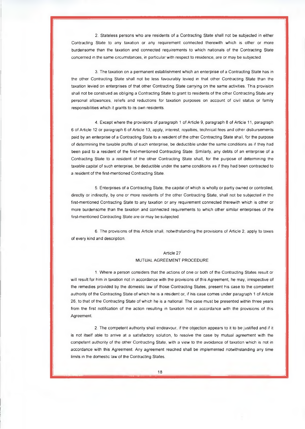2. Stateless persons who are residents of a Contracting State shall not be subjected in either Contracting State to any taxation or any requirement connected therewith which is other or more burdensome than the taxation and connected requirements to which nationals of the Contracting State concerned in the same circumstances, in particular with respect to residence, are or may be subjected.

3. The taxation on a permanent establishment which an enterprise of a Contracting State has in the other Contracting State shall not be less favourably levied in that other Contracting State than the taxation levied on enterprises of that other Contracting State carrying on the same activities. This provision shall not be construed as obliging a Contracting State to grant to residents of the other Contracting State any personal allowances, reliefs and reductions for taxation purposes on account of civil status or family responsibilities which it grants to its own residents.

4. Except where the provisions of paragraph 1 of Article 9, paragraph 8 of Article 11, paragraph 6 of Article 12 or paragraph 6 of Article 13, apply, interest, royalties, technical fees and other disbursements paid by an enterprise of a Contracting State to a resident of the other Contracting State shall, for the purpose of determining the taxable profits of such enterprise, be deductible under the same conditions as if they had been paid to a resident of the first-mentioned Contracting State. Similarly, any debts of an enterprise of a Contracting State to a resident of the other Contracting State shall, for the purpose of determining the taxable capital of such enterprise, be deductible under the same conditions as if they had been contracted to a resident of the first-mentioned Contracting State.

5. Enterprises of a Contracting State, the capital of which is wholly or partly owned or controlled, directly or indirectly, by one or more residents of the other Contracting State, shall not be subjected in the first-mentioned Contracting State to any taxation or any requirement connected therewith which is other or more burdensome than the taxation and connected requirements to which other similar enterprises of the first-mentioned Contracting State are or may be subjected.

6. The provisions of this Article shall, notwithstanding the provisions of Article 2, apply to taxes of every kind and description.

## Article 27

#### MUTUAL AGREEMENT PROCEDURE

1. Where a person considers that the actions of one or both of the Contracting States result or will result for him in taxation not in accordance with the provisions of this Agreement, he may, irrespective of the remedies provided by the domestic law of those Contracting States, present his case to the competent authority of the Contracting State of which he is a resident or, if his case comes under paragraph 1 of Article 26, to that of the Contracting State of which he is a national. The case must be presented within three years from the first notification of the action resulting in taxation not in accordance with the provisions of this Agreement.

2. The competent authority shall endeavour, if the objection appears to it to be justified and if it is not itself able to arrive at a satisfactory solution, to resolve the case by mutual agreement with the competent authority of the other Contracting State, with a view to the avoidance of taxation which is not in accordance with this Agreement. Any agreement reached shall be implemented notwithstanding any time limits in the domestic law of the Contracting States.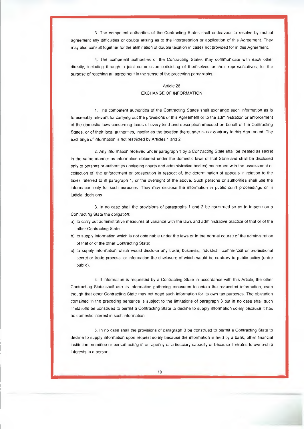3. The competent authorities of the Contracting States shall endeavour to resolve by mutual agreement any difficulties or doubts arising as to the interpretation or application of this Agreement. They may also consult together for the elimination of double taxation in cases not provided for in this Agreement.

4. The competent authorities of the Contracting States may communicate with each other directly, including through a joint commission consisting of themselves or their representatives, for the purpose of reaching an agreement in the sense of the preceding paragraphs.

## Article 28 EXCHANGE OF INFORMATION

1. The competent authorities of the Contracting States shall exchange such information as is foreseeably relevant for carrying out the provisions of this Agreement or to the administration or enforcement of the domestic laws concerning taxes of every kind and description imposed on behalf of the Contracting States, or of their local authorities, insofar as the taxation thereunder is not contrary to this Agreement. The exchange of information is not restricted by Articles 1 and 2.

2. Any information received under paragraph 1 by a Contracting State shall be treated as secret in the same manner as information obtained under the domestic laws of that State and shall be disclosed only to persons or authorities (including courts and administrative bodies) concerned with the assessment or collection of, the enforcement or prosecution in respect of, the determination of appeals in relation to the taxes referred to in paragraph 1, or the oversight of the above. Such persons or authorities shall use the information only for such purposes. They may disclose the information in public court proceedings or in judicial decisions.

3. In no case shall the provisions of paragraphs 1 and 2 be construed so as to impose on a Contracting State the obligation:

- a) to carry out administrative measures at variance with the laws and administrative practice of that or of the other Contracting State;
- b) to supply information which is not obtainable under the laws or in the normal course of the administration of that or of the other Contracting State;
- c) to supply information which would disclose any trade, business, industrial, commercial or professional secret or trade process, or information the disclosure of which would be contrary to public policy (ordre public).

4. If information is requested by a Contracting State in accordance with this Article, the other Contracting State shall use its information gathering measures to obtain the requested information, even though that other Contracting State may not need such information for its own tax purposes. The obligation contained in the preceding sentence is subject to the limitations of paragraph 3 but in no case shall such limitations be construed to permit a Contracting State to decline to supply information solely because it has no domestic interest in such information.

5. In no case shall the provisions of paragraph 3 be construed to permit a Contracting State to decline to supply information upon request solely because the information is held by a bank, other financial institution, nominee or person acting in an agency or a fiduciary capacity or because it relates to ownership interests in a person.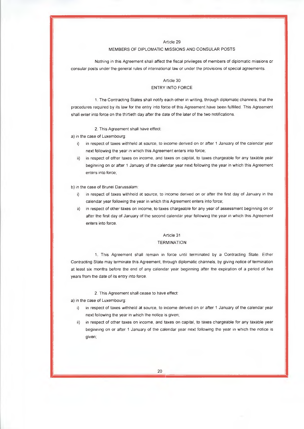#### Article 29

#### MEMBERS OF DIPLOMATIC MISSIONS AND CONSULAR POSTS

Nothing in this Agreement shall affect the fiscal privileges of members of diplomatic missions or consular posts under the general rules of international law or under the provisions of special agreements.

# Article 30

## ENTRY INTO FORCE

1. The Contracting States shall notify each other in writing, through diplomatic channels, that the procedures required by its law for the entry into force of this Agreement have been fulfilled. This Agreement shall enter into force on the thirtieth day after the date of the later of the two notifications.

2. This Agreement shall have effect:

a) in the case of Luxembourg:

- i) in respect of taxes withheld at source, to income derived on or after 1 January of the calendar year next following the year in which this Agreement enters into force;
- ii) in respect of other taxes on income, and taxes on capital, to taxes chargeable for any taxable year beginning on or after 1 January of the calendar year next following the year in which this Agreement enters into force;

b) in the case of Brunei Darussalam:

- i) in respect of taxes withheld at source, to income derived on or after the first day of January in the calendar year following the year in which this Agreement enters into force;
- ii) in respect of other taxes on income, to taxes chargeable for any year of assessment beginning on or after the first day of January of the second calendar year following the year in which this Agreement enters into force.

## Article 31

#### **TERMINATION**

1. This Agreement shall remain in force until terminated by a Contracting State. Either Contracting State may terminate this Agreement, through diplomatic channels, by giving notice of termination at least six months before the end of any calendar year beginning after the expiration of a period of five years from the date of its entry into force.

2. This Agreement shall cease to have effect:

a) in the case of Luxembourg:

- i) in respect of taxes withheld at source, to income derived on or after 1 January of the calendar year next following the year in which the notice is given;
- ii) in respect of other taxes on income, and taxes on capital, to taxes chargeable for any taxable year beginning on or after 1 January of the calendar year next following the year in which the notice is given;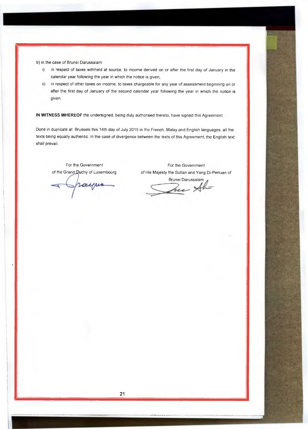b) in the case of Brunei Darussalam:

- i) in respect of taxes withheld at source, to income derived on or after the first day of January in the calendar year following the year in which the notice is given;
- ii) in respect of other taxes on income, to taxes chargeable for any year of assessment beginning on or after the first day of January of the second calendar year following the year in which the notice is given.

**IN WITNESS WHEREOF** the undersigned, being duly authorised thereto, have signed this Agreement.

Done in duplicate at Brussels this 14th day of July 2015 in the French, Malay and English languages, all the texts being equally authentic. In the case of divergence between the texts of this Agreement, the English text shall prevail.

For the Government of the Grand Duchy of Luxembourg

aun

For the Government of His Majesty the Sultan and Yang Di-Pertuan of

Brunei Darussalam Sur A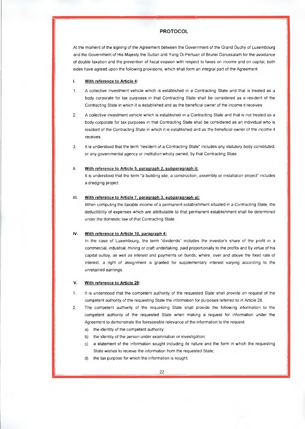#### **PROTOCOL**

At the moment of the signing of the Agreement between the Government of the Grand Duchy of Luxembourg and the Government of His Majesty the Sultan and Yang Di-Pertuan of Brunei Darussalam for the avoidance of double taxation and the prevention of fiscal evasion with respect to taxes on income and on capital, both sides have agreed upon the following provisions, which shall form an integral part of the Agreement:

#### **I. With reference to Article 4:**

- A collective investment vehicle which is established in a Contracting State and that is treated as a  $1_{+}$ body corporate for tax purposes in that Contracting State shall be considered as a resident of the Contracting State in which it is established and as the beneficial owner of the income it receives.
- 2. A collective investment vehicle which is established in a Contracting State and that is not treated as a body corporate for tax purposes in that Contracting State shall be considered as an individual who is resident of the Contracting State in which it is established and as the beneficial owner of the income it receives.
- 3. It is understood that the term "resident of a Contracting State" includes any statutory body constituted, or any governmental agency or institution wholly owned, by that Contracting State.

#### **II. With reference to Article 5, paragraph 2, subparagraph I):**

It is understood that the term "a building site, a construction, assembly or installation project" includes a dredging project.

#### **Ill. With reference to Article 7, paragraph 3, subparagraph a):**

When computing the taxable income of a permanent establishment situated in a Contracting State, the deductibility of expenses which are attributable to that permanent establishment shall be determined under the domestic law of that Contracting State.

#### **IV.** With reference to Article 10, paragraph 4:

In the case of Luxembourg, the term "dividends" includes the investor's share of the profit in a commercial, industrial, mining or craft undertaking, paid proportionally to the profits and by virtue of his capital outlay, as well as interest and payments on bonds, where, over and above the fixed rate of interest, a right of assignment is granted for supplementary interest varying according to the unretained earnings.

#### **V. With reference to Article 28:**

 $1.$ It is understood that the competent authority of the requested State shall provide on request of the competent authority of the requesting State the information for purposes referred to in Article 28.

2. The competent authority of the requesting State shall provide the following information to the competent authority of the requested State when making a request for information under the Agreement to demonstrate the foreseeable relevance of the information to the request:

- a) the identity of the competent authority;
- b) the identity of the person under examination or investigation;
- c) a statement of the information sought including its nature and the form in which the requesting State wishes to receive the information from the requested State;
- d) the tax purpose for which the information is sought;